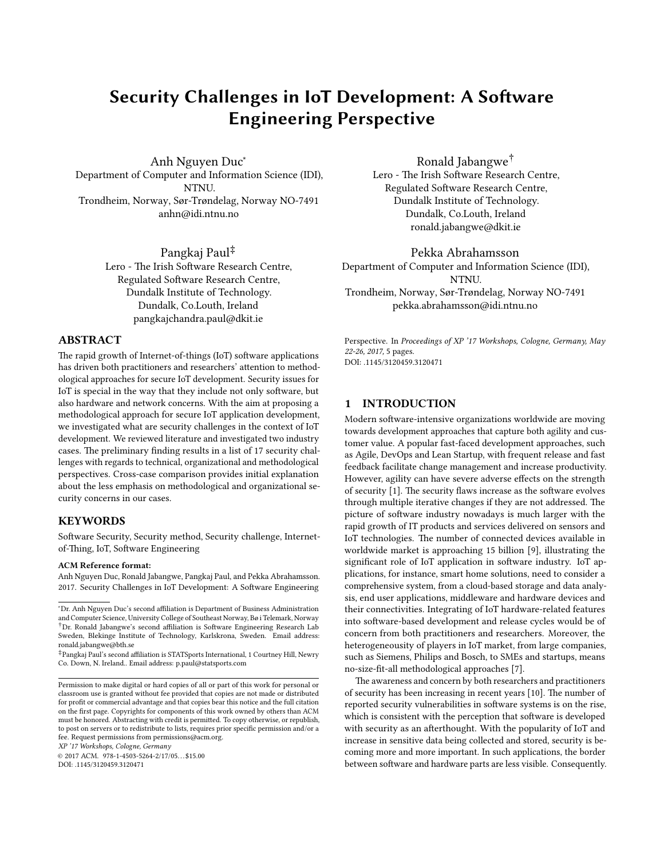# Security Challenges in IoT Development: A Software Engineering Perspective

Anh Nguyen Duc<sup>∗</sup> Department of Computer and Information Science (IDI), NTNU. Trondheim, Norway, Sør-Trøndelag, Norway NO-7491 anhn@idi.ntnu.no

> Pangkaj Paul‡ Lero - The Irish Software Research Centre, Regulated Software Research Centre, Dundalk Institute of Technology. Dundalk, Co.Louth, Ireland pangkajchandra.paul@dkit.ie

# ABSTRACT

The rapid growth of Internet-of-things (IoT) software applications has driven both practitioners and researchers' attention to methodological approaches for secure IoT development. Security issues for IoT is special in the way that they include not only software, but also hardware and network concerns. With the aim at proposing a methodological approach for secure IoT application development, we investigated what are security challenges in the context of IoT development. We reviewed literature and investigated two industry cases. The preliminary finding results in a list of 17 security challenges with regards to technical, organizational and methodological perspectives. Cross-case comparison provides initial explanation about the less emphasis on methodological and organizational security concerns in our cases.

#### **KEYWORDS**

Software Security, Security method, Security challenge, Internetof-Thing, IoT, Software Engineering

#### ACM Reference format:

Anh Nguyen Duc, Ronald Jabangwe, Pangkaj Paul, and Pekka Abrahamsson. 2017. Security Challenges in IoT Development: A Software Engineering

XP '17 Workshops, Cologne, Germany

© 2017 ACM. 978-1-4503-5264-2/17/05. . . \$15.00 DOI: .1145/3120459.3120471

Ronald Jabangwe† Lero - The Irish Software Research Centre, Regulated Software Research Centre, Dundalk Institute of Technology. Dundalk, Co.Louth, Ireland ronald.jabangwe@dkit.ie

Pekka Abrahamsson Department of Computer and Information Science (IDI), NTNU. Trondheim, Norway, Sør-Trøndelag, Norway NO-7491 pekka.abrahamsson@idi.ntnu.no

Perspective. In Proceedings of XP '17 Workshops, Cologne, Germany, May 22-26, 2017, [5](#page-4-0) pages. DOI: .1145/3120459.3120471

# 1 INTRODUCTION

Modern software-intensive organizations worldwide are moving towards development approaches that capture both agility and customer value. A popular fast-faced development approaches, such as Agile, DevOps and Lean Startup, with frequent release and fast feedback facilitate change management and increase productivity. However, agility can have severe adverse effects on the strength of security [\[1\]](#page-3-0). The security flaws increase as the software evolves through multiple iterative changes if they are not addressed. The picture of software industry nowadays is much larger with the rapid growth of IT products and services delivered on sensors and IoT technologies. The number of connected devices available in worldwide market is approaching 15 billion [\[9\]](#page-3-1), illustrating the significant role of IoT application in software industry. IoT applications, for instance, smart home solutions, need to consider a comprehensive system, from a cloud-based storage and data analysis, end user applications, middleware and hardware devices and their connectivities. Integrating of IoT hardware-related features into software-based development and release cycles would be of concern from both practitioners and researchers. Moreover, the heterogeneousity of players in IoT market, from large companies, such as Siemens, Philips and Bosch, to SMEs and startups, means no-size-fit-all methodological approaches [\[7\]](#page-3-2).

The awareness and concern by both researchers and practitioners of security has been increasing in recent years [\[10\]](#page-3-3). The number of reported security vulnerabilities in software systems is on the rise, which is consistent with the perception that software is developed with security as an afterthought. With the popularity of IoT and increase in sensitive data being collected and stored, security is becoming more and more important. In such applications, the border between software and hardware parts are less visible. Consequently.

<sup>∗</sup>Dr. Anh Nguyen Duc's second aliation is Department of Business Administration and Computer Science, University College of Southeast Norway, Bø i Telemark, Norway  $\dagger$ Dr. Ronald Jabangwe's second affiliation is Software Engineering Research Lab Sweden, Blekinge Institute of Technology, Karlskrona, Sweden. Email address: ronald.jabangwe@bth.se

<sup>‡</sup>Pangkaj Paul's second aliation is STATSports International, 1 Courtney Hill, Newry Co. Down, N. Ireland.. Email address: p.paul@statsports.com

Permission to make digital or hard copies of all or part of this work for personal or classroom use is granted without fee provided that copies are not made or distributed for profit or commercial advantage and that copies bear this notice and the full citation on the first page. Copyrights for components of this work owned by others than  $\rm{ACM}$ must be honored. Abstracting with credit is permitted. To copy otherwise, or republish, to post on servers or to redistribute to lists, requires prior specific permission and/or a fee. Request permissions from permissions@acm.org.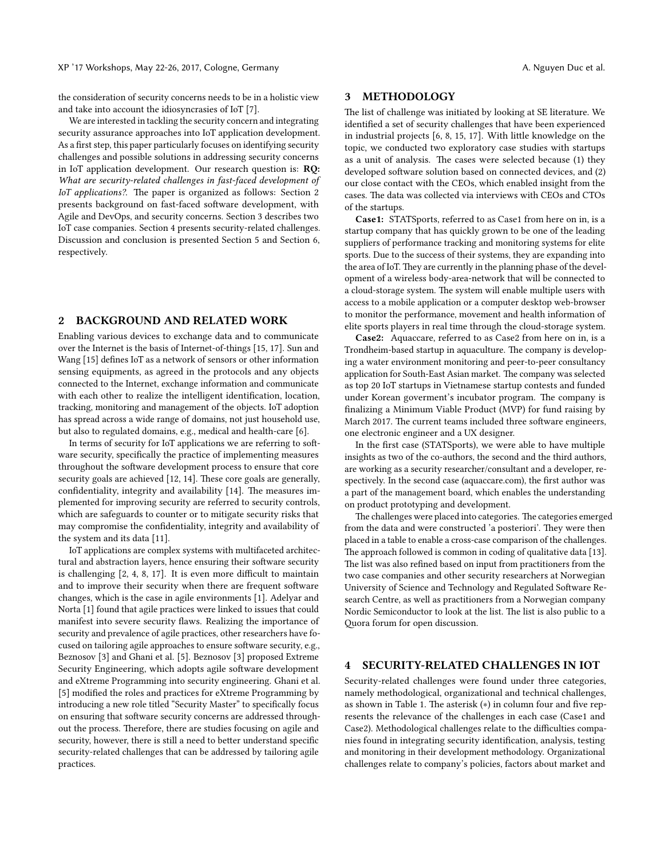the consideration of security concerns needs to be in a holistic view and take into account the idiosyncrasies of IoT [\[7\]](#page-3-2).

We are interested in tackling the security concern and integrating security assurance approaches into IoT application development. As a first step, this paper particularly focuses on identifying security challenges and possible solutions in addressing security concerns in IoT application development. Our research question is: RQ: What are security-related challenges in fast-faced development of IoT applications?. The paper is organized as follows: Section  $2$ presents background on fast-faced software development, with Agile and DevOps, and security concerns. Section [3](#page-1-1) describes two IoT case companies. Section [4](#page-1-2) presents security-related challenges. Discussion and conclusion is presented Section [5](#page-3-4) and Section [6,](#page-3-5) respectively.

# <span id="page-1-0"></span>2 BACKGROUND AND RELATED WORK

Enabling various devices to exchange data and to communicate over the Internet is the basis of Internet-of-things [\[15,](#page-4-1) [17\]](#page-4-2). Sun and Wang [\[15\]](#page-4-1) defines IoT as a network of sensors or other information sensing equipments, as agreed in the protocols and any objects connected to the Internet, exchange information and communicate with each other to realize the intelligent identification, location, tracking, monitoring and management of the objects. IoT adoption has spread across a wide range of domains, not just household use, but also to regulated domains, e.g., medical and health-care [\[6\]](#page-3-6).

In terms of security for IoT applications we are referring to software security, specifically the practice of implementing measures throughout the software development process to ensure that core security goals are achieved  $[12, 14]$  $[12, 14]$  $[12, 14]$ . These core goals are generally, confidentiality, integrity and availability [\[14\]](#page-4-3). The measures implemented for improving security are referred to security controls, which are safeguards to counter or to mitigate security risks that may compromise the confidentiality, integrity and availability of the system and its data [\[11\]](#page-3-8).

IoT applications are complex systems with multifaceted architectural and abstraction layers, hence ensuring their software security is challenging  $[2, 4, 8, 17]$  $[2, 4, 8, 17]$  $[2, 4, 8, 17]$  $[2, 4, 8, 17]$  $[2, 4, 8, 17]$  $[2, 4, 8, 17]$  $[2, 4, 8, 17]$ . It is even more difficult to maintain and to improve their security when there are frequent software changes, which is the case in agile environments [\[1\]](#page-3-0). Adelyar and Norta [\[1\]](#page-3-0) found that agile practices were linked to issues that could manifest into severe security flaws. Realizing the importance of security and prevalence of agile practices, other researchers have focused on tailoring agile approaches to ensure software security, e.g., Beznosov [\[3\]](#page-3-12) and Ghani et al. [\[5\]](#page-3-13). Beznosov [\[3\]](#page-3-12) proposed Extreme Security Engineering, which adopts agile software development and eXtreme Programming into security engineering. Ghani et al. [\[5\]](#page-3-13) modified the roles and practices for eXtreme Programming by introducing a new role titled "Security Master" to specifically focus on ensuring that software security concerns are addressed throughout the process. Therefore, there are studies focusing on agile and security, however, there is still a need to better understand specific security-related challenges that can be addressed by tailoring agile practices.

#### <span id="page-1-1"></span>**METHODOLOGY**

The list of challenge was initiated by looking at SE literature. We identified a set of security challenges that have been experienced in industrial projects  $[6, 8, 15, 17]$  $[6, 8, 15, 17]$  $[6, 8, 15, 17]$  $[6, 8, 15, 17]$  $[6, 8, 15, 17]$  $[6, 8, 15, 17]$  $[6, 8, 15, 17]$ . With little knowledge on the topic, we conducted two exploratory case studies with startups as a unit of analysis. The cases were selected because (1) they developed software solution based on connected devices, and (2) our close contact with the CEOs, which enabled insight from the cases. The data was collected via interviews with CEOs and CTOs of the startups.

Case1: STATSports, referred to as Case1 from here on in, is a startup company that has quickly grown to be one of the leading suppliers of performance tracking and monitoring systems for elite sports. Due to the success of their systems, they are expanding into the area of IoT. They are currently in the planning phase of the development of a wireless body-area-network that will be connected to a cloud-storage system. The system will enable multiple users with access to a mobile application or a computer desktop web-browser to monitor the performance, movement and health information of elite sports players in real time through the cloud-storage system.

Case2: Aquaccare, referred to as Case2 from here on in, is a Trondheim-based startup in aquaculture. The company is developing a water environment monitoring and peer-to-peer consultancy application for South-East Asian market. The company was selected as top 20 IoT startups in Vietnamese startup contests and funded under Korean goverment's incubator program. The company is finalizing a Minimum Viable Product (MVP) for fund raising by March 2017. The current teams included three software engineers, one electronic engineer and a UX designer.

In the first case (STATSports), we were able to have multiple insights as two of the co-authors, the second and the third authors, are working as a security researcher/consultant and a developer, respectively. In the second case (aquaccare.com), the first author was a part of the management board, which enables the understanding on product prototyping and development.

The challenges were placed into categories. The categories emerged from the data and were constructed 'a posteriori'. They were then placed in a table to enable a cross-case comparison of the challenges. The approach followed is common in coding of qualitative data [\[13\]](#page-3-14). The list was also refined based on input from practitioners from the two case companies and other security researchers at Norwegian University of Science and Technology and Regulated Software Research Centre, as well as practitioners from a Norwegian company Nordic Semiconductor to look at the list. The list is also public to a Quora forum for open discussion.

# <span id="page-1-2"></span>4 SECURITY-RELATED CHALLENGES IN IOT

Security-related challenges were found under three categories, namely methodological, organizational and technical challenges, as shown in Table [1.](#page-2-0) The asterisk  $(*)$  in column four and five represents the relevance of the challenges in each case (Case1 and Case2). Methodological challenges relate to the difficulties companies found in integrating security identification, analysis, testing and monitoring in their development methodology. Organizational challenges relate to company's policies, factors about market and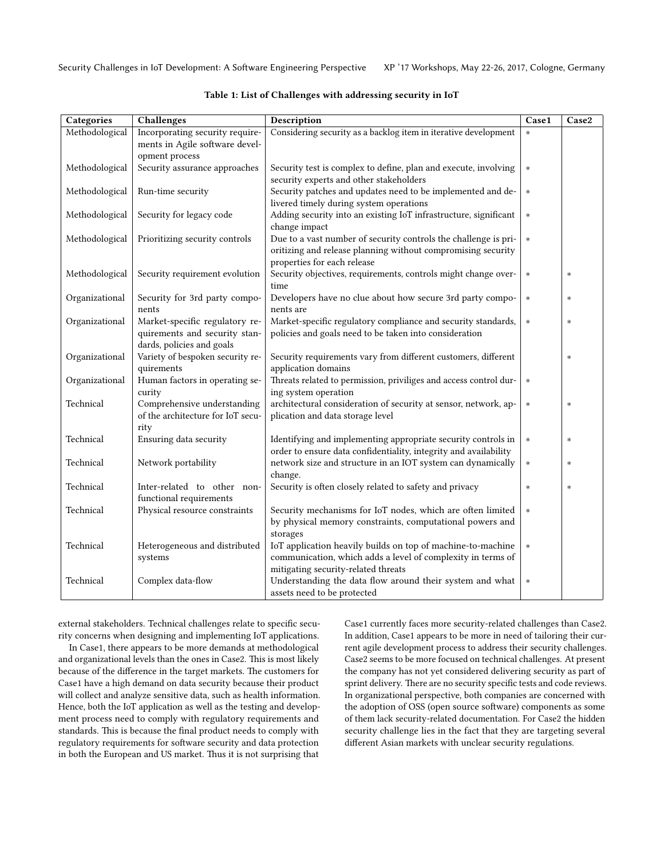<span id="page-2-0"></span>Security Challenges in IoT Development: A Software Engineering Perspective XP '17 Workshops, May 22-26, 2017, Cologne, Germany

| Categories     | Challenges                        | <b>Description</b>                                                | Case1  | Case2  |
|----------------|-----------------------------------|-------------------------------------------------------------------|--------|--------|
| Methodological | Incorporating security require-   | Considering security as a backlog item in iterative development   |        |        |
|                | ments in Agile software devel-    |                                                                   |        |        |
|                | opment process                    |                                                                   |        |        |
| Methodological | Security assurance approaches     | Security test is complex to define, plan and execute, involving   | $\ast$ |        |
|                |                                   | security experts and other stakeholders                           |        |        |
| Methodological | Run-time security                 | Security patches and updates need to be implemented and de-       | $\ast$ |        |
|                |                                   | livered timely during system operations                           |        |        |
| Methodological | Security for legacy code          | Adding security into an existing IoT infrastructure, significant  | $\ast$ |        |
|                |                                   | change impact                                                     |        |        |
| Methodological | Prioritizing security controls    | Due to a vast number of security controls the challenge is pri-   | $\ast$ |        |
|                |                                   | oritizing and release planning without compromising security      |        |        |
|                |                                   | properties for each release                                       |        |        |
| Methodological | Security requirement evolution    | Security objectives, requirements, controls might change over-    | $\ast$ | *      |
|                |                                   | time                                                              |        |        |
| Organizational | Security for 3rd party compo-     | Developers have no clue about how secure 3rd party compo-         | $\ast$ | $\ast$ |
|                | nents                             | nents are                                                         |        |        |
| Organizational | Market-specific regulatory re-    | Market-specific regulatory compliance and security standards,     | $\ast$ | *      |
|                | quirements and security stan-     | policies and goals need to be taken into consideration            |        |        |
|                | dards, policies and goals         |                                                                   |        |        |
| Organizational | Variety of bespoken security re-  | Security requirements vary from different customers, different    |        | $\ast$ |
|                | quirements                        | application domains                                               |        |        |
| Organizational | Human factors in operating se-    | Threats related to permission, priviliges and access control dur- | $\ast$ |        |
|                | curity                            | ing system operation                                              |        |        |
| Technical      | Comprehensive understanding       | architectural consideration of security at sensor, network, ap-   | $\ast$ | $\ast$ |
|                | of the architecture for IoT secu- | plication and data storage level                                  |        |        |
|                | rity                              |                                                                   |        |        |
| Technical      | Ensuring data security            | Identifying and implementing appropriate security controls in     | $\ast$ | *      |
|                |                                   | order to ensure data confidentiality, integrity and availability  |        |        |
| Technical      | Network portability               | network size and structure in an IOT system can dynamically       | $\ast$ | $\ast$ |
|                |                                   | change.                                                           |        |        |
| Technical      | Inter-related to other non-       | Security is often closely related to safety and privacy           | $\ast$ | $\ast$ |
|                | functional requirements           |                                                                   |        |        |
| Technical      | Physical resource constraints     | Security mechanisms for IoT nodes, which are often limited        | $\ast$ |        |
|                |                                   | by physical memory constraints, computational powers and          |        |        |
|                |                                   | storages                                                          |        |        |
| Technical      | Heterogeneous and distributed     | IoT application heavily builds on top of machine-to-machine       | $\ast$ |        |
|                | systems                           | communication, which adds a level of complexity in terms of       |        |        |
|                |                                   | mitigating security-related threats                               |        |        |
| Technical      | Complex data-flow                 | Understanding the data flow around their system and what          | $\ast$ |        |
|                |                                   | assets need to be protected                                       |        |        |

#### Table 1: List of Challenges with addressing security in IoT

external stakeholders. Technical challenges relate to specific security concerns when designing and implementing IoT applications.

In Case1, there appears to be more demands at methodological and organizational levels than the ones in Case2. This is most likely because of the difference in the target markets. The customers for Case1 have a high demand on data security because their product will collect and analyze sensitive data, such as health information. Hence, both the IoT application as well as the testing and development process need to comply with regulatory requirements and standards. This is because the final product needs to comply with regulatory requirements for software security and data protection in both the European and US market. Thus it is not surprising that

Case1 currently faces more security-related challenges than Case2. In addition, Case1 appears to be more in need of tailoring their current agile development process to address their security challenges. Case2 seems to be more focused on technical challenges. At present the company has not yet considered delivering security as part of sprint delivery. There are no security specific tests and code reviews. In organizational perspective, both companies are concerned with the adoption of OSS (open source software) components as some of them lack security-related documentation. For Case2 the hidden security challenge lies in the fact that they are targeting several different Asian markets with unclear security regulations.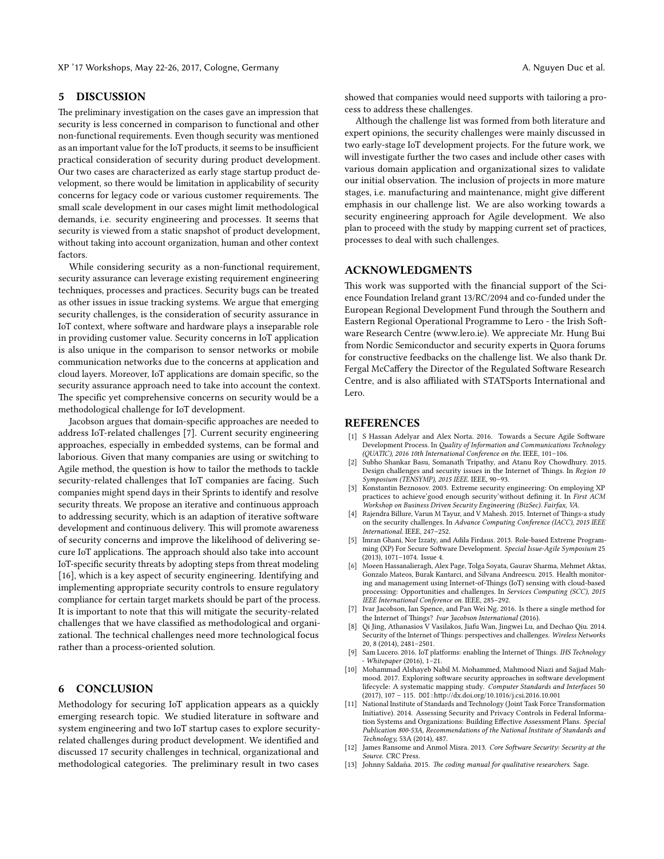#### <span id="page-3-4"></span>5 DISCUSSION

The preliminary investigation on the cases gave an impression that security is less concerned in comparison to functional and other non-functional requirements. Even though security was mentioned as an important value for the IoT products, it seems to be insufficient practical consideration of security during product development. Our two cases are characterized as early stage startup product development, so there would be limitation in applicability of security concerns for legacy code or various customer requirements. The small scale development in our cases might limit methodological demands, i.e. security engineering and processes. It seems that security is viewed from a static snapshot of product development, without taking into account organization, human and other context factors.

While considering security as a non-functional requirement, security assurance can leverage existing requirement engineering techniques, processes and practices. Security bugs can be treated as other issues in issue tracking systems. We argue that emerging security challenges, is the consideration of security assurance in IoT context, where software and hardware plays a inseparable role in providing customer value. Security concerns in IoT application is also unique in the comparison to sensor networks or mobile communication networks due to the concerns at application and cloud layers. Moreover, IoT applications are domain specific, so the security assurance approach need to take into account the context. The specific yet comprehensive concerns on security would be a methodological challenge for IoT development.

Jacobson argues that domain-specific approaches are needed to address IoT-related challenges [\[7\]](#page-3-2). Current security engineering approaches, especially in embedded systems, can be formal and laborious. Given that many companies are using or switching to Agile method, the question is how to tailor the methods to tackle security-related challenges that IoT companies are facing. Such companies might spend days in their Sprints to identify and resolve security threats. We propose an iterative and continuous approach to addressing security, which is an adaption of iterative software development and continuous delivery. This will promote awareness of security concerns and improve the likelihood of delivering secure IoT applications. The approach should also take into account IoT-specific security threats by adopting steps from threat modeling [\[16\]](#page-4-4), which is a key aspect of security engineering. Identifying and implementing appropriate security controls to ensure regulatory compliance for certain target markets should be part of the process. It is important to note that this will mitigate the security-related challenges that we have classified as methodological and organizational. The technical challenges need more technological focus rather than a process-oriented solution.

#### <span id="page-3-5"></span>6 CONCLUSION

Methodology for securing IoT application appears as a quickly emerging research topic. We studied literature in software and system engineering and two IoT startup cases to explore securityrelated challenges during product development. We identified and discussed 17 security challenges in technical, organizational and methodological categories. The preliminary result in two cases

showed that companies would need supports with tailoring a process to address these challenges.

Although the challenge list was formed from both literature and expert opinions, the security challenges were mainly discussed in two early-stage IoT development projects. For the future work, we will investigate further the two cases and include other cases with various domain application and organizational sizes to validate our initial observation. The inclusion of projects in more mature stages, i.e. manufacturing and maintenance, might give different emphasis in our challenge list. We are also working towards a security engineering approach for Agile development. We also plan to proceed with the study by mapping current set of practices, processes to deal with such challenges.

# ACKNOWLEDGMENTS

This work was supported with the financial support of the Science Foundation Ireland grant 13/RC/2094 and co-funded under the European Regional Development Fund through the Southern and Eastern Regional Operational Programme to Lero - the Irish Software Research Centre (www.lero.ie). We appreciate Mr. Hung Bui from Nordic Semiconductor and security experts in Quora forums for constructive feedbacks on the challenge list. We also thank Dr. Fergal McCaffery the Director of the Regulated Software Research Centre, and is also affiliated with STATSports International and Lero.

# **REFERENCES**

- <span id="page-3-0"></span>[1] S Hassan Adelyar and Alex Norta. 2016. Towards a Secure Agile Software Development Process. In Quality of Information and Communications Technology (QUATIC), 2016 10th International Conference on the. IEEE, 101–106.
- <span id="page-3-9"></span>[2] Subho Shankar Basu, Somanath Tripathy, and Atanu Roy Chowdhury. 2015. Design challenges and security issues in the Internet of Things. In Region 10 Symposium (TENSYMP), 2015 IEEE. IEEE, 90–93.
- <span id="page-3-12"></span>[3] Konstantin Beznosov. 2003. Extreme security engineering: On employing XP practices to achieve'good enough security'without defining it. In First ACM Workshop on Business Driven Security Engineering (BizSec). Fairfax, VA.
- <span id="page-3-10"></span>[4] Rajendra Billure, Varun M Tayur, and V Mahesh. 2015. Internet of Things-a study on the security challenges. In Advance Computing Conference (IACC), 2015 IEEE International. IEEE, 247–252.
- <span id="page-3-13"></span>[5] Imran Ghani, Nor Izzaty, and Adila Firdaus. 2013. Role-based Extreme Programming (XP) For Secure Software Development. Special Issue-Agile Symposium 25 (2013), 1071–1074. Issue 4.
- <span id="page-3-6"></span>[6] Moeen Hassanalieragh, Alex Page, Tolga Soyata, Gaurav Sharma, Mehmet Aktas, Gonzalo Mateos, Burak Kantarci, and Silvana Andreescu. 2015. Health monitoring and management using Internet-of-Things (IoT) sensing with cloud-based processing: Opportunities and challenges. In Services Computing (SCC), 2015 IEEE International Conference on. IEEE, 285–292.
- <span id="page-3-2"></span>[7] Ivar Jacobson, Ian Spence, and Pan Wei Ng. 2016. Is there a single method for the Internet of Things? Ivar Jacobson International (2016).
- <span id="page-3-11"></span>[8] Qi Jing, Athanasios V Vasilakos, Jiafu Wan, Jingwei Lu, and Dechao Qiu. 2014. Security of the Internet of Things: perspectives and challenges. Wireless Networks 20, 8 (2014), 2481–2501.
- <span id="page-3-1"></span>[9] Sam Lucero. 2016. IoT platforms: enabling the Internet of Things. IHS Technology Whitepaper (2016), 1-21.
- <span id="page-3-3"></span>[10] Mohammad Alshayeb Nabil M. Mohammed, Mahmood Niazi and Sajjad Mahmood. 2017. Exploring software security approaches in software development lifecycle: A systematic mapping study. Computer Standards and Interfaces 50 (2017), 107 - 115. DOI: http://dx.doi.org/10.1016/j.csi.2016.10.001
- <span id="page-3-8"></span>National Institute of Standards and Technology (Joint Task Force Transformation Initiative). 2014. Assessing Security and Privacy Controls in Federal Information Systems and Organizations: Building Effective Assessment Plans. Special Publication 800-53A, Recommendations of the National Institute of Standards and Technology, 53A (2014), 487.
- <span id="page-3-7"></span>[12] James Ransome and Anmol Misra. 2013. Core Software Security: Security at the **Source.** CRC Press.
- <span id="page-3-14"></span>[13] Johnny Saldaña. 2015. The coding manual for qualitative researchers. Sage.